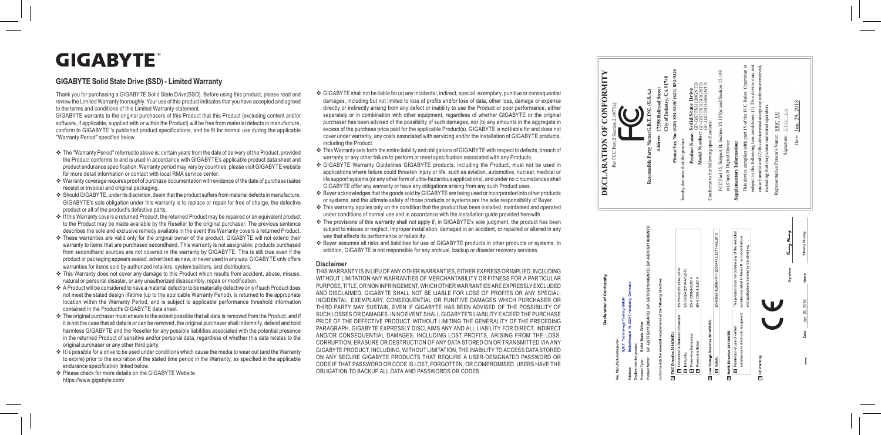# **GIGABYTE**

### GIGABYTE Solid State Drive (SSD) - Limited Warranty

Thank you for purchasing a GIGABYTE Solid State Drive(SSD). Before using this product, please read and i l i i i i l review the Limited Warranty thoroughly. Your use of this product indicates that you have accepted and agreed i i i l i i i to the terms and conditions of this Limited Warranty statement. i i i i i

GIGABYTE warrants to the original purchasers of this Product that this Product (excluding content and/or i i l i i l i software, if applicable, supplied with or within the Product) will be free from material defects in manufacture, i l i l l i i i i i l l i l i conform to GIGABYTE 's published product specifications, and be fit for normal use during the applicable "Warranty Period" specified below. l i i i l i l i l i i l

- ❖ The "Warranty Period" referred to above is: certain years from the date of delivery of the Product, provided i i i l i i the Product conforms to and is used in accordance with GIGABYTE's applicable product data sheet and i i i product endurance specification. Warranty period may vary by countries, please visit GIGABYTE website l i l i i i i l i i i for more detail information or contact with local RMA service center. i l i i i l l i
- $\Leftrightarrow$  Warranty coverage requires proof of purchase documentation with evidence of the date of purchase (sales i i i i l receipt or invoice) and original packaging. i i i i i l i
- Should GIGABYTE, under its discretion, deem that the product suffers from material defects in manufacture, l i i i i l i GIGABYTE's sole obligation under this warranty is to replace or repair for free of charge, the defective product or all of the product's defective parts. l l i i i i l i i l l i
- If this Warranty covers a returned Product, the returned Product may be repaired or an equivalent product i i i l to the Product may be made available by the Reseller to the original purchaser. The previous sentence i l l l l i i l i describes the sole and exclusive remedy available in the event this Warranty covers a returned Product. i l l i i l l i i
- \* These warranties are valid only for the original owner of the product. GIGABYTE will not extend their i l i l i i l i l l i warranty to items that are purchased secondhand. This warranty is not assignable; products purchased i i i i l from secondhand sources are not covered in the warranty by GIGABYTE. This is still true even if the i i i i l l i product or packaging appears sealed, advertised as new, or never used in any way. GIGABYTE only offers i l i i l warranties for items sold by authorized retailers, system builders, and distributors. i i l i i l i l i i
- \* This Warranty does not cover any damage to this Product which results from accident, abuse, misuse, i i i l i i natural or personal disaster, or any unauthorized disassembly, repair or modification. l l i i i l i i i
- A Product will be considered to have a material defect or to be materially defective only if such Product does i l l i i l i l l i l i not meet the stated design lifetime (up to the applicable Warranty Period), is returned to the appropriate i l i i l i l i i i l ocation within the Warranty Period, and is subject to applicable performance threshold information i i i i i j l i l l i i contained in the Product's GIGABYTE data sheet. i i
- \* The original purchaser must ensure to the extent possible that all data is removed from the Product, and if i i l i l l l i i i t is not the case that all data is or can be removed, the original purchaser shall indemnify, defend and hold i l l i i i l l l i i l harmless GIGABYTE and the Reseller for any possible liabilities associated with the potential presence l l l i l l i i l i i i i i l i n the returned Product of sensitive and/or personal data, regardless of whether this data relates to the i i l l i l original purchaser or any other third party. i i l i
- It is possible for a drive to be used under conditions which cause the media to wear out (and the Warranty i i l i i i i i to expire) prior to the expiration of the stated time period in the Warranty, as specified in the applicable i i i i i i i i i l i l endurance specification linked below. i i l i l
- ❖ Please check for more details on the GIGABYTE Website. l i l i https://www.gigabyte.com/ i
- $\clubsuit$  GIGABYTE shall not be liable for (a) any incidental, indirect, special, exemplary, punitive or consequentia l l l i l i i l i i i l l i i i l damages, including but not limited to loss of profits and/or loss of data, other loss, damage or expense i l i l i i l l l directly or indirectly arising from any defect or inability to use the Product or poor performance, either i l i i l i i i i l i i separately or in combination with other equipment, regardless of whether GIGABYTE or the origina l i i i i i l i i l purchaser has been advised of the possibility of such damages, nor (b) any amounts in the aggregate in i i i l i i i excess of the purchase price paid for the applicable Product(s). GIGABYTE is not liable for and does not i i l i l i l i l cover under warranty, any costs associated with servicing and/or the installation of GIGABYTE products, i i i i i l l i i ncluding the Product. l i
- $\clubsuit$  This Warranty sets forth the entire liability and obligations of GIGABYTE with respect to defects, breach of i i l i i l i l i i i warranty or any other failure to perform or meet specification associated with any Products. i l i i i i
- ❖ GIGABYTE Warranty Guidelines GIGABYTE products, including the Product, must not be used in i l i i l i i applications where failure could threaten injury or life, such as aviation, automotive, nuclear, medical or l i i i l l i j l i i i i l i l l i fe support systems (or any other form of ultra-hazardous applications), and under no circumstances sha l l i i i l GIGABYTE offer any warranty or have any obligations arising from any such Product uses. l i i i i

l

- \* Buyer acknowledges that the goods sold by GIGABYTE are being used or incorporated into other products l l i i i or systems, and the ultimate safety of those products or systems are the sole responsibility of Buyer. l i l i i l i
- $\clubsuit$  This warranty applies only on the condition that the product has been installed, maintained and operated i l i l i i i l l i i under conditions of normal use and in accordance with the installation guide provided herewith. i i l i i i l l i i i i
- \* The provisions of this warranty shall not apply if, in GIGABYTE's sole judgment, the product has been i i i l l l i i subject to misuse or neglect, improper installation, damaged in an accident, or repaired or altered in any l j j i l i i l l i i i i l i way that affects its performance or reliability. i l i i l i
- \* Buyer assumes all risks and liabilities for use of GIGABYTE products in other products or systems. In l l i l i i l i i i addition, GIGABYTE is not responsible for any archival, backup or disaster recovery services. i i i i l i l i i

#### **D i s c l a i m e r**

THIS WARRANTY IS IN LIEU OF ANY OTHER WARRANTIES, EITHER EXPRESS OR IMPLIED, INCLUDING WITHOUT LIMITATION ANY WARRANTIES OF MERCHANTABILITY OR FITNESS FOR A PARTICULAR PURPOSE, TITLE, OR NON INFRINGEMENT, WHICH OTHER WARRANTIES ARE EXPRESSLY EXCLUDED AND DISCLAIMED. GIGABYTE SHALL NOT BE LIABLE FOR LOSS OF PROFITS OR ANY SPECIAL, INCIDENTAL, EXEMPLARY, CONSEQUENTIAL OR PUNITIVE DAMAGES WHICH PURCHASER OR THIRD PARTY MAY SUSTAIN, EVEN IF GIGABYTE HAS BEEN ADVISED OF THE POSSIBILITY OF SUCH LOSSES OR DAMAGES. IN NO EVENT SHALL GIGABYTE'S LIABILITY EXCEED THE PURCHASE PRICE OF THE DEFECTIVE PRODUCT. WITHOUT LIMITING THE GENERALITY OF THE PRECEDING PARAGRAPH, GIGABYTE EXPRESSLY DISCLAIMS ANY AND ALL LIABILITY FOR DIRECT, INDIRECT AND/OR CONSEQUENTIAL DAMAGES, INCLUDING LOST PROFITS, ARISING FROM THE LOSS, CORRUPTION, ERASURE OR DESTRUCTION OF ANY DATA STORED ON OR TRANSMITTED VIA ANY GIGABY TE PRODUCT, INCLUDING, WITHOUT LIMITATION, THE INABILITY TO ACCESS DATA STORED ON ANY SECURE GIGABYTE PRODUCTS THAT REQUIRE A USER-DESIGNATED PASSWORD OR CODE IF THAT PASSWORD OR CODE IS LOST, FORGOTTEN, OR COMPROMISED. USERS HAVE THE OBLIGATION TO BACKUP ALL DATA AND PASSWORDS OR CODES.